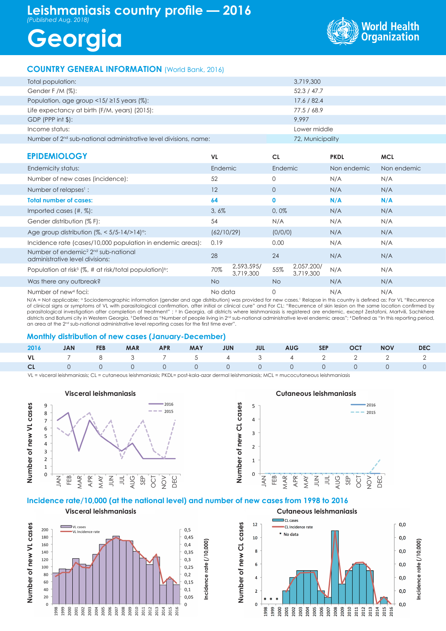## **Leishmaniasis country profile — 2016**

*(Published Aug. 2018)*

# **Georgia**



### **COUNTRY GENERAL INFORMATION** (World Bank, 2016)

| Total population:                                                            | 3,719,300        |
|------------------------------------------------------------------------------|------------------|
| Gender F /M $(\%)$ :                                                         | 52.3 / 47.7      |
| Population, age group $\langle 15/215 \rangle$ years (%):                    | 17.6 / 82.4      |
| Life expectancy at birth (F/M, years) (2015):                                | 77.5 / 68.9      |
| $GDP$ (PPP int $\frac{1}{2}$ ):                                              | 9.997            |
| Income status:                                                               | Lower middle     |
| Number of 2 <sup>nd</sup> sub-national administrative level divisions, name: | 72, Municipality |

| <b>EPIDEMIOLOGY</b>                                                                            | VL.        |                         | <b>CL</b>   |                         | <b>PKDL</b> | <b>MCL</b>  |
|------------------------------------------------------------------------------------------------|------------|-------------------------|-------------|-------------------------|-------------|-------------|
| Endemicity status:                                                                             | Endemic    |                         | Endemic     |                         | Non endemic | Non endemic |
| Number of new cases (incidence):                                                               | 52         |                         | 0           |                         | N/A         | N/A         |
| Number of relapses <sup>1</sup> :                                                              | 12         |                         | $\circ$     |                         | N/A         | N/A         |
| <b>Total number of cases:</b>                                                                  | 64         |                         | $\mathbf 0$ |                         | N/A         | N/A         |
| Imported cases $(\#,\%)$ :                                                                     | 3,6%       |                         | 0,0%        |                         | N/A         | N/A         |
| Gender distribution (% F):                                                                     | 54         |                         | N/A         |                         | N/A         | N/A         |
| Age group distribution $\frac{1}{6}$ < 5/5-14/>14) <sup>o</sup> :                              | (62/10/29) |                         | (0/0/0)     |                         | N/A         | N/A         |
| Incidence rate (cases/10,000 population in endemic areas):                                     | 0.19       |                         | 0.00        |                         | N/A         | N/A         |
| Number of endemic <sup>2</sup> 2 <sup>nd</sup> sub-national<br>administrative level divisions: | 28         |                         | 24          |                         | N/A         | N/A         |
| Population at risk <sup>3</sup> (%, # at risk/total population) <sup>b</sup> :                 | 70%        | 2,593,595/<br>3,719,300 | 55%         | 2,057,200/<br>3.719.300 | N/A         | N/A         |
| Was there any outbreak?                                                                        | No.        |                         | No.         |                         | N/A         | N/A         |
| Number of new <sup>4</sup> foci:                                                               | No data    |                         | 0           |                         | N/A         | N/A         |

N/A = Not applicable; <sup>a</sup> Sociodemographic information (gender and age distribution) was provided for new cases.' Relapse in this country is defined as: For VL "Recurrence of clinical signs or symptoms of VL with parasitological confirmation, after initial or clinical cure" and For CL: "Recurrence of skin lesion on the same location confirmed by parasitological investigation after completion of treatment" ; <sup>2</sup> In Georgia, all districts where leishmaniasis is registered are endemic, except Zestafoni, Martvili, Sachkhere districts and Batumi city in Western Georgia. 3 Defined as "Number of people living in 2nd sub-national administrative level endemic areas"; 4 Defined as "In this reporting period, an area at the 2<sup>nd</sup> sub-national administrative level reporting cases for the first time ever".

### **Monthly distribution of new cases (January-December)**

|  |  |  |  |  | 2016 JAN FEB MAR APR MAY JUN JUL AUG SEP OCT NOV DEC |  |
|--|--|--|--|--|------------------------------------------------------|--|
|  |  |  |  |  | VL 7 8 3 7 5 4 3 4 2 2 2 2                           |  |
|  |  |  |  |  |                                                      |  |

**Number of new CL cases**

Number of new CL case

ဖိ

VL = visceral leishmaniasis; CL = cutaneous leishmaniasis; PKDL= post-kala-azar dermal leishmaniasis; MCL = mucocutaneous leishmaniasis



Number of new VL cases **Number of new VL cases**  $\Box$  VI cases 200  $0, 5$ . = eases<br>VI. Incidence rate 180  $0.45$ **Incidence rate (/10,000)**  $ncidence rate (10,000)$  $0,4$ 160  $140$  $0,35$ 120  $0,3$ 100  $0,25$  $0,2$ 80 60  $0,15$ 40  $0.1$  $20\,$  $0,05$  $\mathbf 0$  $\mathbf 0$  $\begin{array}{l} 3989\\ 39980\\ 2000\\ 2000\\ 2000\\ 2000\\ 2000\\ 2000\\ 2000\\ 2000\\ 2000\\ 2000\\ 2000\\ 2000\\ 2000\\ 2000\\ 2000\\ 2000\\ 2000\\ 2000\\ 2000\\ 2000\\ 2000\\ 2000\\ 2000\\ 2000\\ 2000\\ 2000\\ 2000\\ 2000\\ 2000\\ 2000\\ 2000\\ 2000\\ 2000\\ 2$ 

**Visceral leishmaniasis**



**Incidence rate (/10,000)** $ncidence rate (10,000)$